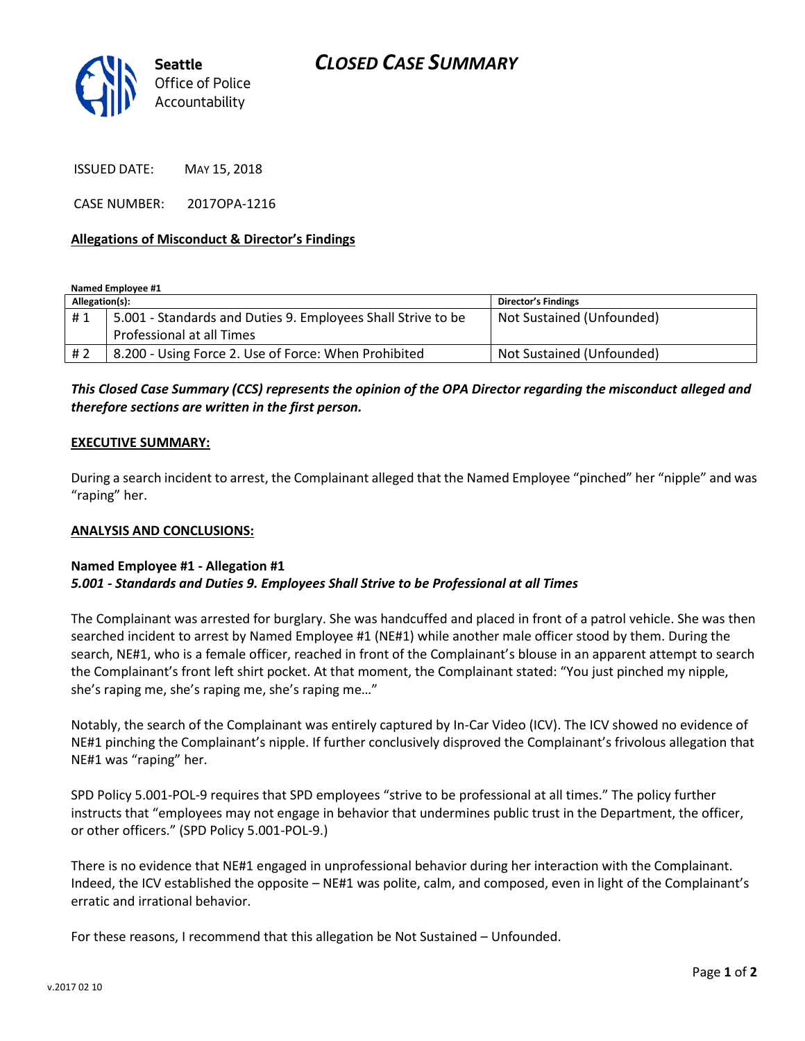

ISSUED DATE: MAY 15, 2018

CASE NUMBER: 2017OPA-1216

#### **Allegations of Misconduct & Director's Findings**

**Named Employee #1**

| Allegation(s): |                                                              | Director's Findings       |
|----------------|--------------------------------------------------------------|---------------------------|
| #1             | 5.001 - Standards and Duties 9. Employees Shall Strive to be | Not Sustained (Unfounded) |
|                | Professional at all Times                                    |                           |
| #2             | 8.200 - Using Force 2. Use of Force: When Prohibited         | Not Sustained (Unfounded) |

*This Closed Case Summary (CCS) represents the opinion of the OPA Director regarding the misconduct alleged and therefore sections are written in the first person.* 

#### **EXECUTIVE SUMMARY:**

During a search incident to arrest, the Complainant alleged that the Named Employee "pinched" her "nipple" and was "raping" her.

#### **ANALYSIS AND CONCLUSIONS:**

### **Named Employee #1 - Allegation #1** *5.001 - Standards and Duties 9. Employees Shall Strive to be Professional at all Times*

The Complainant was arrested for burglary. She was handcuffed and placed in front of a patrol vehicle. She was then searched incident to arrest by Named Employee #1 (NE#1) while another male officer stood by them. During the search, NE#1, who is a female officer, reached in front of the Complainant's blouse in an apparent attempt to search the Complainant's front left shirt pocket. At that moment, the Complainant stated: "You just pinched my nipple, she's raping me, she's raping me, she's raping me…"

Notably, the search of the Complainant was entirely captured by In-Car Video (ICV). The ICV showed no evidence of NE#1 pinching the Complainant's nipple. If further conclusively disproved the Complainant's frivolous allegation that NE#1 was "raping" her.

SPD Policy 5.001-POL-9 requires that SPD employees "strive to be professional at all times." The policy further instructs that "employees may not engage in behavior that undermines public trust in the Department, the officer, or other officers." (SPD Policy 5.001-POL-9.)

There is no evidence that NE#1 engaged in unprofessional behavior during her interaction with the Complainant. Indeed, the ICV established the opposite – NE#1 was polite, calm, and composed, even in light of the Complainant's erratic and irrational behavior.

For these reasons, I recommend that this allegation be Not Sustained – Unfounded.